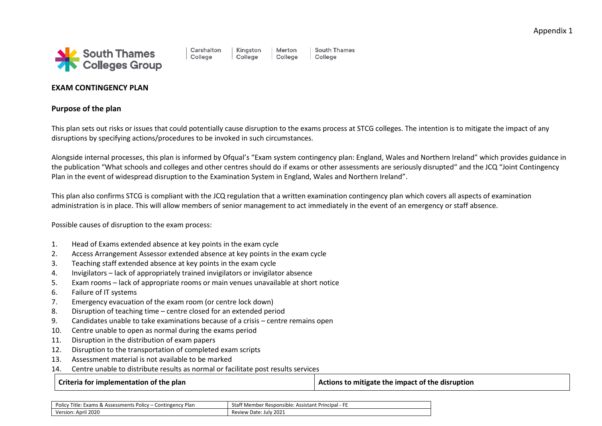

#### Carshalton College

Kinaston College

South Thames College

# **EXAM CONTINGENCY PLAN**

## **Purpose of the plan**

This plan sets out risks or issues that could potentially cause disruption to the exams process at STCG colleges. The intention is to mitigate the impact of any disruptions by specifying actions/procedures to be invoked in such circumstances.

Merton

College

Alongside internal processes, this plan is informed by Ofqual's "Exam system contingency plan: England, Wales and Northern Ireland" which provides guidance in the publication "What schools and colleges and other centres should do if exams or other assessments are seriously disrupted" and the JCQ "Joint Contingency Plan in the event of widespread disruption to the Examination System in England, Wales and Northern Ireland".

This plan also confirms STCG is compliant with the JCQ regulation that a written examination contingency plan which covers all aspects of examination administration is in place. This will allow members of senior management to act immediately in the event of an emergency or staff absence.

Possible causes of disruption to the exam process:

- 1. Head of Exams extended absence at key points in the exam cycle
- 2. Access Arrangement Assessor extended absence at key points in the exam cycle
- 3. Teaching staff extended absence at key points in the exam cycle
- 4. Invigilators lack of appropriately trained invigilators or invigilator absence
- 5. Exam rooms lack of appropriate rooms or main venues unavailable at short notice
- 6. Failure of IT systems
- 7. Emergency evacuation of the exam room (or centre lock down)
- 8. Disruption of teaching time centre closed for an extended period
- 9. Candidates unable to take examinations because of a crisis centre remains open
- 10. Centre unable to open as normal during the exams period
- 11. Disruption in the distribution of exam papers
- 12. Disruption to the transportation of completed exam scripts
- 13. Assessment material is not available to be marked
- 14. Centre unable to distribute results as normal or facilitate post results services

**Criteria for implementation of the plan Actions 1 Actions to mitigate the impact of the disruption** 

| Polic<br>v Plan<br>Exams & Assessments Policy –<br>Contingency<br>Title: | f Member Responsible: Assistant Principal - F<br>Stat' |
|--------------------------------------------------------------------------|--------------------------------------------------------|
| Version: April 2020                                                      | 2021<br>Review Date: July                              |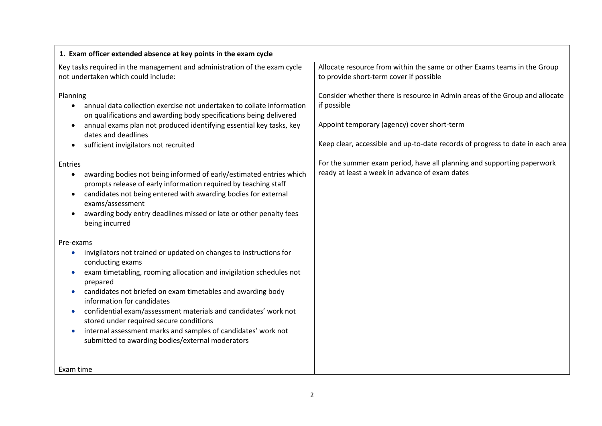| 1. Exam officer extended absence at key points in the exam cycle                                                                                                                                                                                                                                                                                                                                                                                                                                                       |                                                                                                                                                                                                                             |
|------------------------------------------------------------------------------------------------------------------------------------------------------------------------------------------------------------------------------------------------------------------------------------------------------------------------------------------------------------------------------------------------------------------------------------------------------------------------------------------------------------------------|-----------------------------------------------------------------------------------------------------------------------------------------------------------------------------------------------------------------------------|
| Key tasks required in the management and administration of the exam cycle<br>not undertaken which could include:                                                                                                                                                                                                                                                                                                                                                                                                       | Allocate resource from within the same or other Exams teams in the Group<br>to provide short-term cover if possible                                                                                                         |
| Planning<br>annual data collection exercise not undertaken to collate information<br>$\bullet$<br>on qualifications and awarding body specifications being delivered<br>annual exams plan not produced identifying essential key tasks, key<br>dates and deadlines<br>sufficient invigilators not recruited                                                                                                                                                                                                            | Consider whether there is resource in Admin areas of the Group and allocate<br>if possible<br>Appoint temporary (agency) cover short-term<br>Keep clear, accessible and up-to-date records of progress to date in each area |
| Entries<br>awarding bodies not being informed of early/estimated entries which<br>$\bullet$<br>prompts release of early information required by teaching staff<br>candidates not being entered with awarding bodies for external<br>$\bullet$<br>exams/assessment<br>awarding body entry deadlines missed or late or other penalty fees<br>being incurred                                                                                                                                                              | For the summer exam period, have all planning and supporting paperwork<br>ready at least a week in advance of exam dates                                                                                                    |
| Pre-exams                                                                                                                                                                                                                                                                                                                                                                                                                                                                                                              |                                                                                                                                                                                                                             |
| invigilators not trained or updated on changes to instructions for<br>$\bullet$<br>conducting exams<br>exam timetabling, rooming allocation and invigilation schedules not<br>prepared<br>candidates not briefed on exam timetables and awarding body<br>information for candidates<br>confidential exam/assessment materials and candidates' work not<br>stored under required secure conditions<br>internal assessment marks and samples of candidates' work not<br>submitted to awarding bodies/external moderators |                                                                                                                                                                                                                             |
| Exam time                                                                                                                                                                                                                                                                                                                                                                                                                                                                                                              |                                                                                                                                                                                                                             |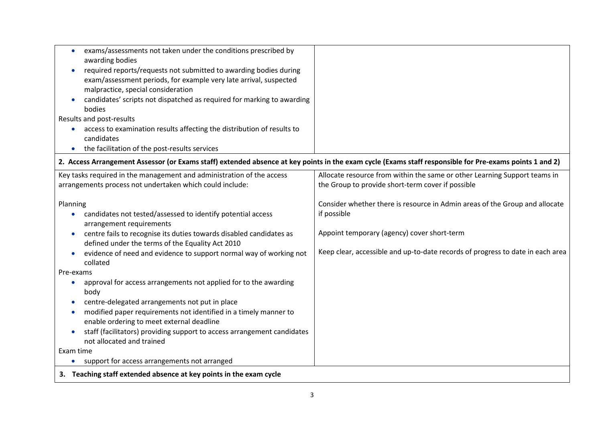| exams/assessments not taken under the conditions prescribed by                                                                                          |                                                                                |
|---------------------------------------------------------------------------------------------------------------------------------------------------------|--------------------------------------------------------------------------------|
| awarding bodies                                                                                                                                         |                                                                                |
| required reports/requests not submitted to awarding bodies during                                                                                       |                                                                                |
| exam/assessment periods, for example very late arrival, suspected                                                                                       |                                                                                |
| malpractice, special consideration                                                                                                                      |                                                                                |
| candidates' scripts not dispatched as required for marking to awarding                                                                                  |                                                                                |
| bodies                                                                                                                                                  |                                                                                |
| Results and post-results                                                                                                                                |                                                                                |
| access to examination results affecting the distribution of results to                                                                                  |                                                                                |
| candidates                                                                                                                                              |                                                                                |
| the facilitation of the post-results services                                                                                                           |                                                                                |
| 2. Access Arrangement Assessor (or Exams staff) extended absence at key points in the exam cycle (Exams staff responsible for Pre-exams points 1 and 2) |                                                                                |
| Key tasks required in the management and administration of the access                                                                                   | Allocate resource from within the same or other Learning Support teams in      |
| arrangements process not undertaken which could include:                                                                                                | the Group to provide short-term cover if possible                              |
|                                                                                                                                                         |                                                                                |
| Planning                                                                                                                                                | Consider whether there is resource in Admin areas of the Group and allocate    |
| candidates not tested/assessed to identify potential access                                                                                             | if possible                                                                    |
| arrangement requirements                                                                                                                                |                                                                                |
| centre fails to recognise its duties towards disabled candidates as<br>$\bullet$                                                                        | Appoint temporary (agency) cover short-term                                    |
| defined under the terms of the Equality Act 2010                                                                                                        |                                                                                |
| evidence of need and evidence to support normal way of working not                                                                                      | Keep clear, accessible and up-to-date records of progress to date in each area |
| collated                                                                                                                                                |                                                                                |
| Pre-exams                                                                                                                                               |                                                                                |
| approval for access arrangements not applied for to the awarding                                                                                        |                                                                                |
| body                                                                                                                                                    |                                                                                |
| centre-delegated arrangements not put in place                                                                                                          |                                                                                |
| modified paper requirements not identified in a timely manner to<br>$\bullet$                                                                           |                                                                                |
| enable ordering to meet external deadline                                                                                                               |                                                                                |
| staff (facilitators) providing support to access arrangement candidates<br>not allocated and trained                                                    |                                                                                |
| Exam time                                                                                                                                               |                                                                                |
| support for access arrangements not arranged<br>$\bullet$                                                                                               |                                                                                |
| 3. Teaching staff extended absence at key points in the exam cycle                                                                                      |                                                                                |
|                                                                                                                                                         |                                                                                |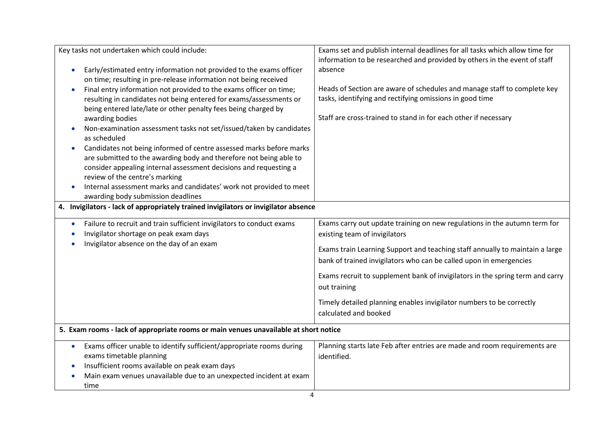| Key tasks not undertaken which could include:                                                                                                                                                                                                                                                                                                                                                                                                                                                                                                                                                                                                                                                                                                                                                                                                                           | Exams set and publish internal deadlines for all tasks which allow time for<br>information to be researched and provided by others in the event of staff                                                                                                                                                                                                                                                                                                           |
|-------------------------------------------------------------------------------------------------------------------------------------------------------------------------------------------------------------------------------------------------------------------------------------------------------------------------------------------------------------------------------------------------------------------------------------------------------------------------------------------------------------------------------------------------------------------------------------------------------------------------------------------------------------------------------------------------------------------------------------------------------------------------------------------------------------------------------------------------------------------------|--------------------------------------------------------------------------------------------------------------------------------------------------------------------------------------------------------------------------------------------------------------------------------------------------------------------------------------------------------------------------------------------------------------------------------------------------------------------|
| Early/estimated entry information not provided to the exams officer<br>$\bullet$<br>on time; resulting in pre-release information not being received<br>Final entry information not provided to the exams officer on time;<br>$\bullet$<br>resulting in candidates not being entered for exams/assessments or<br>being entered late/late or other penalty fees being charged by<br>awarding bodies<br>Non-examination assessment tasks not set/issued/taken by candidates<br>as scheduled<br>Candidates not being informed of centre assessed marks before marks<br>$\bullet$<br>are submitted to the awarding body and therefore not being able to<br>consider appealing internal assessment decisions and requesting a<br>review of the centre's marking<br>Internal assessment marks and candidates' work not provided to meet<br>awarding body submission deadlines | absence<br>Heads of Section are aware of schedules and manage staff to complete key<br>tasks, identifying and rectifying omissions in good time<br>Staff are cross-trained to stand in for each other if necessary                                                                                                                                                                                                                                                 |
| 4. Invigilators - lack of appropriately trained invigilators or invigilator absence                                                                                                                                                                                                                                                                                                                                                                                                                                                                                                                                                                                                                                                                                                                                                                                     |                                                                                                                                                                                                                                                                                                                                                                                                                                                                    |
| Failure to recruit and train sufficient invigilators to conduct exams<br>$\bullet$<br>Invigilator shortage on peak exam days<br>Invigilator absence on the day of an exam                                                                                                                                                                                                                                                                                                                                                                                                                                                                                                                                                                                                                                                                                               | Exams carry out update training on new regulations in the autumn term for<br>existing team of invigilators<br>Exams train Learning Support and teaching staff annually to maintain a large<br>bank of trained invigilators who can be called upon in emergencies<br>Exams recruit to supplement bank of invigilators in the spring term and carry<br>out training<br>Timely detailed planning enables invigilator numbers to be correctly<br>calculated and booked |
| 5. Exam rooms - lack of appropriate rooms or main venues unavailable at short notice                                                                                                                                                                                                                                                                                                                                                                                                                                                                                                                                                                                                                                                                                                                                                                                    |                                                                                                                                                                                                                                                                                                                                                                                                                                                                    |
| Exams officer unable to identify sufficient/appropriate rooms during<br>$\bullet$<br>exams timetable planning<br>Insufficient rooms available on peak exam days<br>$\bullet$<br>Main exam venues unavailable due to an unexpected incident at exam<br>time                                                                                                                                                                                                                                                                                                                                                                                                                                                                                                                                                                                                              | Planning starts late Feb after entries are made and room requirements are<br>identified.                                                                                                                                                                                                                                                                                                                                                                           |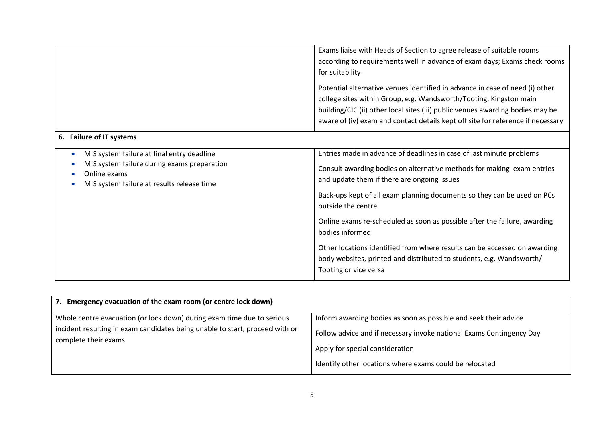|                                                                                                                                                         | Exams liaise with Heads of Section to agree release of suitable rooms<br>according to requirements well in advance of exam days; Exams check rooms<br>for suitability<br>Potential alternative venues identified in advance in case of need (i) other<br>college sites within Group, e.g. Wandsworth/Tooting, Kingston main<br>building/CIC (ii) other local sites (iii) public venues awarding bodies may be                                                                                                                                                                |
|---------------------------------------------------------------------------------------------------------------------------------------------------------|------------------------------------------------------------------------------------------------------------------------------------------------------------------------------------------------------------------------------------------------------------------------------------------------------------------------------------------------------------------------------------------------------------------------------------------------------------------------------------------------------------------------------------------------------------------------------|
|                                                                                                                                                         | aware of (iv) exam and contact details kept off site for reference if necessary                                                                                                                                                                                                                                                                                                                                                                                                                                                                                              |
| 6. Failure of IT systems                                                                                                                                |                                                                                                                                                                                                                                                                                                                                                                                                                                                                                                                                                                              |
| MIS system failure at final entry deadline<br>MIS system failure during exams preparation<br>Online exams<br>MIS system failure at results release time | Entries made in advance of deadlines in case of last minute problems<br>Consult awarding bodies on alternative methods for making exam entries<br>and update them if there are ongoing issues<br>Back-ups kept of all exam planning documents so they can be used on PCs<br>outside the centre<br>Online exams re-scheduled as soon as possible after the failure, awarding<br>bodies informed<br>Other locations identified from where results can be accessed on awarding<br>body websites, printed and distributed to students, e.g. Wandsworth/<br>Tooting or vice versa |

| Emergency evacuation of the exam room (or centre lock down)<br>7.                                                                                      |                                                                                                                                          |
|--------------------------------------------------------------------------------------------------------------------------------------------------------|------------------------------------------------------------------------------------------------------------------------------------------|
| Whole centre evacuation (or lock down) during exam time due to serious<br>incident resulting in exam candidates being unable to start, proceed with or | Inform awarding bodies as soon as possible and seek their advice<br>Follow advice and if necessary invoke national Exams Contingency Day |
| complete their exams                                                                                                                                   | Apply for special consideration<br>Identify other locations where exams could be relocated                                               |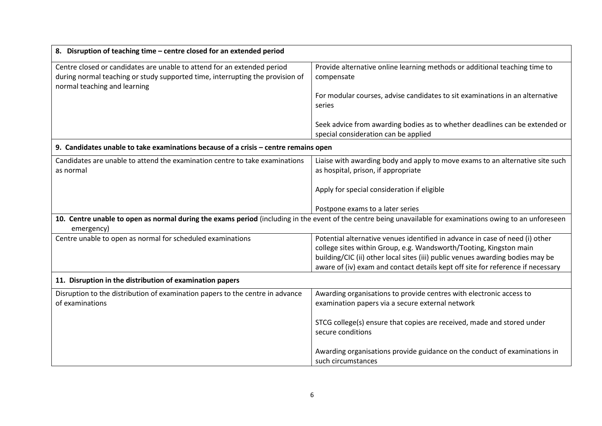| 8. Disruption of teaching time - centre closed for an extended period                                                                                                                    |                                                                                                                                                                   |
|------------------------------------------------------------------------------------------------------------------------------------------------------------------------------------------|-------------------------------------------------------------------------------------------------------------------------------------------------------------------|
| Centre closed or candidates are unable to attend for an extended period<br>during normal teaching or study supported time, interrupting the provision of<br>normal teaching and learning | Provide alternative online learning methods or additional teaching time to<br>compensate                                                                          |
|                                                                                                                                                                                          | For modular courses, advise candidates to sit examinations in an alternative<br>series                                                                            |
|                                                                                                                                                                                          | Seek advice from awarding bodies as to whether deadlines can be extended or<br>special consideration can be applied                                               |
| 9. Candidates unable to take examinations because of a crisis - centre remains open                                                                                                      |                                                                                                                                                                   |
| Candidates are unable to attend the examination centre to take examinations<br>as normal                                                                                                 | Liaise with awarding body and apply to move exams to an alternative site such<br>as hospital, prison, if appropriate                                              |
|                                                                                                                                                                                          | Apply for special consideration if eligible                                                                                                                       |
|                                                                                                                                                                                          | Postpone exams to a later series                                                                                                                                  |
| emergency)                                                                                                                                                                               | 10. Centre unable to open as normal during the exams period (including in the event of the centre being unavailable for examinations owing to an unforeseen       |
| Centre unable to open as normal for scheduled examinations                                                                                                                               | Potential alternative venues identified in advance in case of need (i) other                                                                                      |
|                                                                                                                                                                                          | college sites within Group, e.g. Wandsworth/Tooting, Kingston main                                                                                                |
|                                                                                                                                                                                          | building/CIC (ii) other local sites (iii) public venues awarding bodies may be<br>aware of (iv) exam and contact details kept off site for reference if necessary |
| 11. Disruption in the distribution of examination papers                                                                                                                                 |                                                                                                                                                                   |
| Disruption to the distribution of examination papers to the centre in advance<br>of examinations                                                                                         | Awarding organisations to provide centres with electronic access to<br>examination papers via a secure external network                                           |
|                                                                                                                                                                                          | STCG college(s) ensure that copies are received, made and stored under<br>secure conditions                                                                       |
|                                                                                                                                                                                          | Awarding organisations provide guidance on the conduct of examinations in<br>such circumstances                                                                   |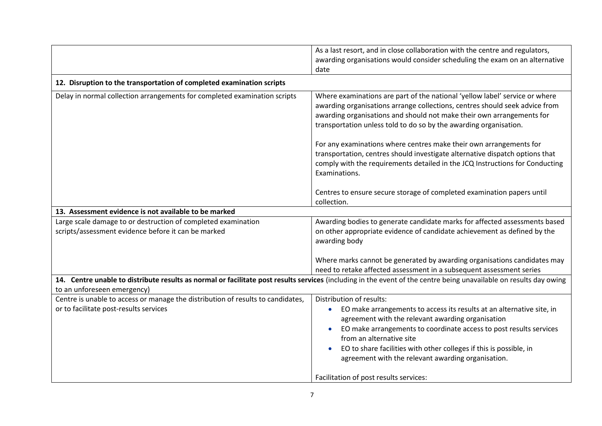|                                                                                                                      | As a last resort, and in close collaboration with the centre and regulators,<br>awarding organisations would consider scheduling the exam on an alternative<br>date                                                                                                                                      |
|----------------------------------------------------------------------------------------------------------------------|----------------------------------------------------------------------------------------------------------------------------------------------------------------------------------------------------------------------------------------------------------------------------------------------------------|
| 12. Disruption to the transportation of completed examination scripts                                                |                                                                                                                                                                                                                                                                                                          |
| Delay in normal collection arrangements for completed examination scripts                                            | Where examinations are part of the national 'yellow label' service or where<br>awarding organisations arrange collections, centres should seek advice from<br>awarding organisations and should not make their own arrangements for<br>transportation unless told to do so by the awarding organisation. |
|                                                                                                                      | For any examinations where centres make their own arrangements for<br>transportation, centres should investigate alternative dispatch options that<br>comply with the requirements detailed in the JCQ Instructions for Conducting<br>Examinations.                                                      |
|                                                                                                                      | Centres to ensure secure storage of completed examination papers until<br>collection.                                                                                                                                                                                                                    |
| 13. Assessment evidence is not available to be marked                                                                |                                                                                                                                                                                                                                                                                                          |
| Large scale damage to or destruction of completed examination<br>scripts/assessment evidence before it can be marked | Awarding bodies to generate candidate marks for affected assessments based<br>on other appropriate evidence of candidate achievement as defined by the<br>awarding body                                                                                                                                  |
|                                                                                                                      | Where marks cannot be generated by awarding organisations candidates may<br>need to retake affected assessment in a subsequent assessment series                                                                                                                                                         |
|                                                                                                                      | 14. Centre unable to distribute results as normal or facilitate post results services (including in the event of the centre being unavailable on results day owing                                                                                                                                       |
| to an unforeseen emergency)                                                                                          |                                                                                                                                                                                                                                                                                                          |
| Centre is unable to access or manage the distribution of results to candidates,                                      | Distribution of results:                                                                                                                                                                                                                                                                                 |
| or to facilitate post-results services                                                                               | EO make arrangements to access its results at an alternative site, in<br>agreement with the relevant awarding organisation                                                                                                                                                                               |
|                                                                                                                      | EO make arrangements to coordinate access to post results services<br>from an alternative site                                                                                                                                                                                                           |
|                                                                                                                      | EO to share facilities with other colleges if this is possible, in<br>agreement with the relevant awarding organisation.                                                                                                                                                                                 |
|                                                                                                                      | Facilitation of post results services:                                                                                                                                                                                                                                                                   |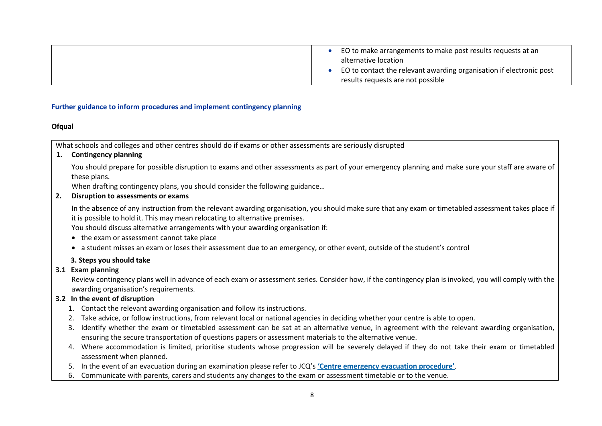| EO to make arrangements to make post results requests at an<br>alternative location                      |
|----------------------------------------------------------------------------------------------------------|
| EO to contact the relevant awarding organisation if electronic post<br>results requests are not possible |

#### **Further guidance to inform procedures and implement contingency planning**

#### **Ofqual**

What schools and colleges and other centres should do if exams or other assessments are seriously disrupted

## **1. Contingency planning**

You should prepare for possible disruption to exams and other assessments as part of your emergency planning and make sure your staff are aware of these plans.

When drafting contingency plans, you should consider the following guidance...

#### **2. Disruption to assessments or exams**

In the absence of any instruction from the relevant awarding organisation, you should make sure that any exam or timetabled assessment takes place if it is possible to hold it. This may mean relocating to alternative premises.

You should discuss alternative arrangements with your awarding organisation if:

- the exam or assessment cannot take place
- a student misses an exam or loses their assessment due to an emergency, or other event, outside of the student's control

## **3. Steps you should take**

## **3.1 Exam planning**

Review contingency plans well in advance of each exam or assessment series. Consider how, if the contingency plan is invoked, you will comply with the awarding organisation's requirements.

## **3.2 In the event of disruption**

- 1. Contact the relevant awarding organisation and follow its instructions.
- 2. Take advice, or follow instructions, from relevant local or national agencies in deciding whether your centre is able to open.
- 3. Identify whether the exam or timetabled assessment can be sat at an alternative venue, in agreement with the relevant awarding organisation, ensuring the secure transportation of questions papers or assessment materials to the alternative venue.
- 4. Where accommodation is limited, prioritise students whose progression will be severely delayed if they do not take their exam or timetabled assessment when planned.
- 5. In the event of an evacuation during an examination please refer to JCQ's **'Centre [emergency](https://www.jcq.org.uk/exams-office/ice---instructions-for-conducting-examinations/centre-emergency-evacuation-procedure) evacuation procedure'**.
- 6. Communicate with parents, carers and students any changes to the exam or assessment timetable or to the venue.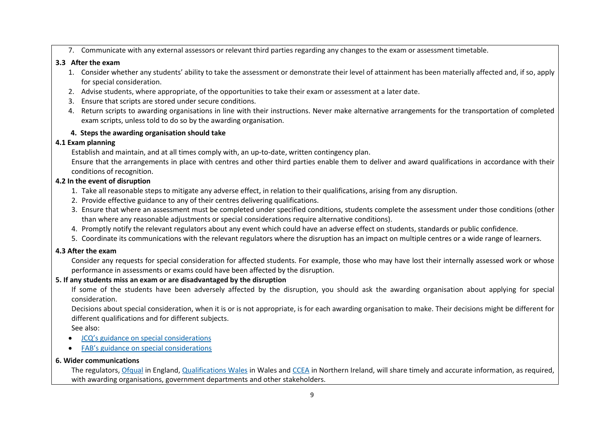7. Communicate with any external assessors or relevant third parties regarding any changes to the exam or assessment timetable.

#### **3.3 After the exam**

- 1. Consider whether any students' ability to take the assessment or demonstrate their level of attainment has been materially affected and, if so, apply for special consideration.
- 2. Advise students, where appropriate, of the opportunities to take their exam or assessment at a later date.
- 3. Ensure that scripts are stored under secure conditions.
- 4. Return scripts to awarding organisations in line with their instructions. Never make alternative arrangements for the transportation of completed exam scripts, unless told to do so by the awarding organisation.

# **4. Steps the awarding organisation should take**

# **4.1 Exam planning**

Establish and maintain, and at all times comply with, an up-to-date, written contingency plan.

Ensure that the arrangements in place with centres and other third parties enable them to deliver and award qualifications in accordance with their conditions of recognition.

# **4.2 In the event of disruption**

- 1. Take all reasonable steps to mitigate any adverse effect, in relation to their qualifications, arising from any disruption.
- 2. Provide effective guidance to any of their centres delivering qualifications.
- 3. Ensure that where an assessment must be completed under specified conditions, students complete the assessment under those conditions (other than where any reasonable adjustments or special considerations require alternative conditions).
- 4. Promptly notify the relevant regulators about any event which could have an adverse effect on students, standards or public confidence.
- 5. Coordinate its communications with the relevant regulators where the disruption has an impact on multiple centres or a wide range of learners.

## **4.3 After the exam**

Consider any requests for special consideration for affected students. For example, those who may have lost their internally assessed work or whose performance in assessments or exams could have been affected by the disruption.

# **5. If any students miss an exam or are disadvantaged by the disruption**

If some of the students have been adversely affected by the disruption, you should ask the awarding organisation about applying for special consideration.

Decisions about special consideration, when it is or is not appropriate, is for each awarding organisation to make. Their decisions might be different for different qualifications and for different subjects.

See also:

- JCQ's guidance on special [considerations](https://www.jcq.org.uk/exams-office/access-arrangements-and-special-consideration/regulations-and-guidance)
- FAB's guidance on special [considerations](https://awarding.org.uk/policy-and-research/fab-guide-the-application-of-reasonable-adjustments-and-special-consideration-in-vocational-qualifications/)

# **6. Wider communications**

The regulators, [Ofqual](https://www.gov.uk/ofqual) in England, [Qualifications](http://qualificationswales.org/) Wales in Wales and [CCEA](http://ccea.org.uk/) in Northern Ireland, will share timely and accurate information, as required, with awarding organisations, government departments and other stakeholders.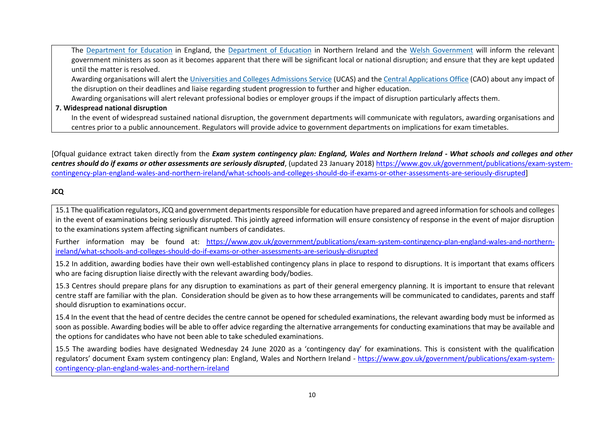The [Department](https://www.gov.uk/government/organisations/department-for-education) for Education in England, the [Department](https://www.education-ni.gov.uk/) of Education in Northern Ireland and the Welsh [Government](http://gov.wales/topics/educationandskills/?lang=en) will inform the relevant government ministers as soon as it becomes apparent that there will be significant local or national disruption; and ensure that they are kept updated until the matter is resolved.

Awarding organisations will alert th[e Universities](https://www.ucas.com/) and Colleges Admissions Service (UCAS) and the Central [Applications](http://www.cao.ie/) Office (CAO) about any impact of the disruption on their deadlines and liaise regarding student progression to further and higher education.

Awarding organisations will alert relevant professional bodies or employer groups if the impact of disruption particularly affects them.

#### **7. Widespread national disruption**

In the event of widespread sustained national disruption, the government departments will communicate with regulators, awarding organisations and centres prior to a public announcement. Regulators will provide advice to government departments on implications for exam timetables.

[Ofqual guidance extract taken directly from the *Exam system contingency plan: England, Wales and Northern Ireland - What schools and colleges and other centres should do if exams or other assessments are seriously disrupted*, (updated 23 January 2018) [https://www.gov.uk/government/publications/exam-system](https://www.gov.uk/government/publications/exam-system-contingency-plan-england-wales-and-northern-ireland/what-schools-and-colleges-should-do-if-exams-or-other-assessments-are-seriously-disrupted)[contingency-plan-england-wales-and-northern-ireland/what-schools-and-colleges-should-do-if-exams-or-other-assessments-are-seriously-disrupted\]](https://www.gov.uk/government/publications/exam-system-contingency-plan-england-wales-and-northern-ireland/what-schools-and-colleges-should-do-if-exams-or-other-assessments-are-seriously-disrupted)

# **JCQ**

15.1 The qualification regulators, JCQ and government departments responsible for education have prepared and agreed information for schools and colleges in the event of examinations being seriously disrupted. This jointly agreed information will ensure consistency of response in the event of major disruption to the examinations system affecting significant numbers of candidates.

Further information may be found at: [https://www.gov.uk/government/publications/exam-system-contingency-plan-england-wales-and-northern](https://www.gov.uk/government/publications/exam-system-contingency-plan-england-wales-and-northern-ireland/what-schools-and-colleges-should-do-if-exams-or-other-assessments-are-seriously-disrupted)[ireland/what-schools-and-colleges-should-do-if-exams-or-other-assessments-are-seriously-disrupted](https://www.gov.uk/government/publications/exam-system-contingency-plan-england-wales-and-northern-ireland/what-schools-and-colleges-should-do-if-exams-or-other-assessments-are-seriously-disrupted)

15.2 In addition, awarding bodies have their own well-established contingency plans in place to respond to disruptions. It is important that exams officers who are facing disruption liaise directly with the relevant awarding body/bodies.

15.3 Centres should prepare plans for any disruption to examinations as part of their general emergency planning. It is important to ensure that relevant centre staff are familiar with the plan. Consideration should be given as to how these arrangements will be communicated to candidates, parents and staff should disruption to examinations occur.

15.4 In the event that the head of centre decides the centre cannot be opened for scheduled examinations, the relevant awarding body must be informed as soon as possible. Awarding bodies will be able to offer advice regarding the alternative arrangements for conducting examinations that may be available and the options for candidates who have not been able to take scheduled examinations.

15.5 The awarding bodies have designated Wednesday 24 June 2020 as a 'contingency day' for examinations. This is consistent with the qualification regulators' document Exam system contingency plan: England, Wales and Northern Ireland - [https://www.gov.uk/government/publications/exam-system](https://www.gov.uk/government/publications/exam-system-contingency-plan-england-wales-and-northern-ireland)[contingency-plan-england-wales-and-northern-ireland](https://www.gov.uk/government/publications/exam-system-contingency-plan-england-wales-and-northern-ireland)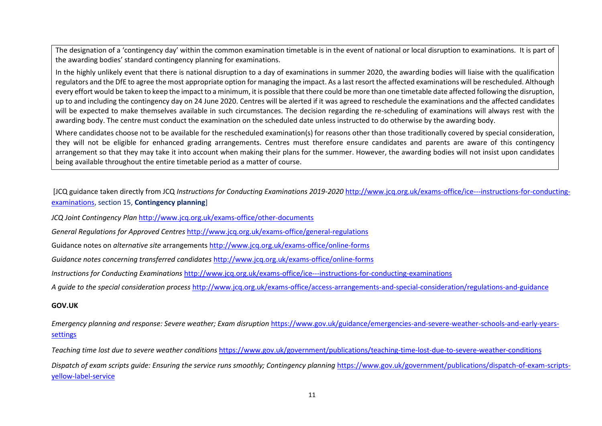The designation of a 'contingency day' within the common examination timetable is in the event of national or local disruption to examinations. It is part of the awarding bodies' standard contingency planning for examinations.

In the highly unlikely event that there is national disruption to a day of examinations in summer 2020, the awarding bodies will liaise with the qualification regulators and the DfE to agree the most appropriate option for managing the impact. As a last resort the affected examinations will be rescheduled. Although every effort would be taken to keep the impact to a minimum, it is possible that there could be more than one timetable date affected following the disruption, up to and including the contingency day on 24 June 2020. Centres will be alerted if it was agreed to reschedule the examinations and the affected candidates will be expected to make themselves available in such circumstances. The decision regarding the re-scheduling of examinations will always rest with the awarding body. The centre must conduct the examination on the scheduled date unless instructed to do otherwise by the awarding body.

Where candidates choose not to be available for the rescheduled examination(s) for reasons other than those traditionally covered by special consideration, they will not be eligible for enhanced grading arrangements. Centres must therefore ensure candidates and parents are aware of this contingency arrangement so that they may take it into account when making their plans for the summer. However, the awarding bodies will not insist upon candidates being available throughout the entire timetable period as a matter of course.

[JCQ guidance taken directly from JCQ *Instructions for Conducting Examinations 2019-2020* [http://www.jcq.org.uk/exams-office/ice---instructions-for-conducting](http://www.jcq.org.uk/exams-office/ice---instructions-for-conducting-examinations)[examinations,](http://www.jcq.org.uk/exams-office/ice---instructions-for-conducting-examinations) section 15, **Contingency planning**]

*JCQ Joint Contingency Plan* <http://www.jcq.org.uk/exams-office/other-documents>

*General Regulations for Approved Centres* <http://www.jcq.org.uk/exams-office/general-regulations>

Guidance notes on *alternative site* arrangement[s http://www.jcq.org.uk/exams-office/online-forms](http://www.jcq.org.uk/exams-office/online-forms)

*Guidance notes concerning transferred candidates* <http://www.jcq.org.uk/exams-office/online-forms>

*Instructions for Conducting Examinations* <http://www.jcq.org.uk/exams-office/ice---instructions-for-conducting-examinations>

*A guide to the special consideration process* <http://www.jcq.org.uk/exams-office/access-arrangements-and-special-consideration/regulations-and-guidance>

#### **GOV.UK**

*Emergency planning and response: Severe weather; Exam disruption* [https://www.gov.uk/guidance/emergencies-and-severe-weather-schools-and-early-years](https://www.gov.uk/guidance/emergencies-and-severe-weather-schools-and-early-years-settings)[settings](https://www.gov.uk/guidance/emergencies-and-severe-weather-schools-and-early-years-settings)

*Teaching time lost due to severe weather conditions* <https://www.gov.uk/government/publications/teaching-time-lost-due-to-severe-weather-conditions>

Dispatch of exam scripts quide: Ensuring the service runs smoothly; Contingency planning [https://www.gov.uk/government/publications/dispatch-of-exam-scripts](https://www.gov.uk/government/publications/dispatch-of-exam-scripts-yellow-label-service)[yellow-label-service](https://www.gov.uk/government/publications/dispatch-of-exam-scripts-yellow-label-service)